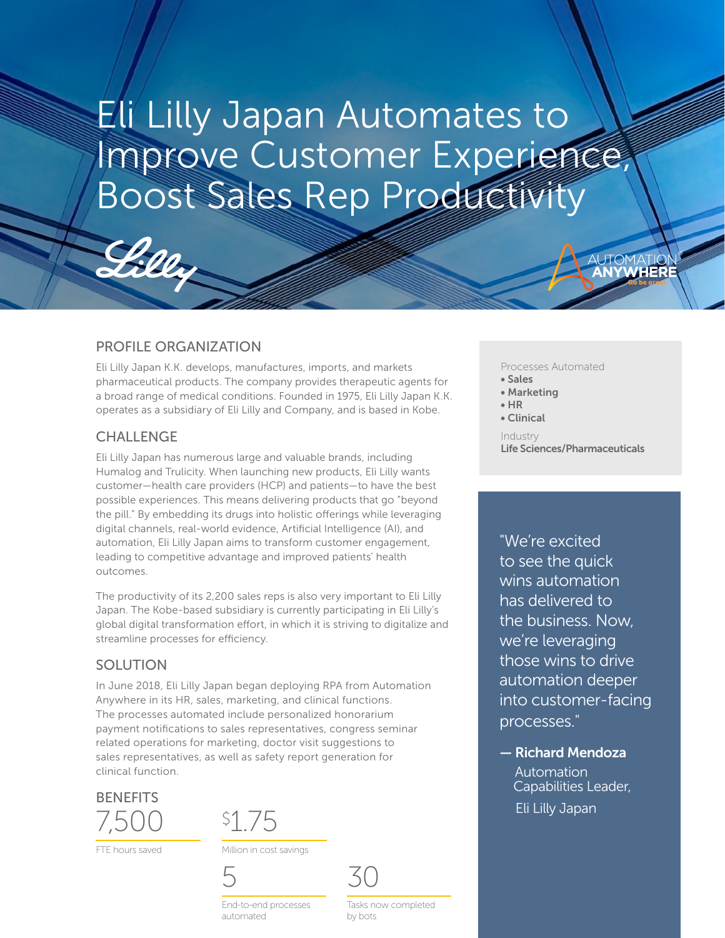Eli Lilly Japan Automates to Improve Customer Experience, Boost Sales Rep Productivity

## PROFILE ORGANIZATION

Eli Lilly Japan K.K. develops, manufactures, imports, and markets pharmaceutical products. The company provides therapeutic agents for a broad range of medical conditions. Founded in 1975, Eli Lilly Japan K.K. operates as a subsidiary of Eli Lilly and Company, and is based in Kobe.

## **CHALLENGE**

Eli Lilly Japan has numerous large and valuable brands, including Humalog and Trulicity. When launching new products, Eli Lilly wants customer—health care providers (HCP) and patients—to have the best possible experiences. This means delivering products that go "beyond the pill." By embedding its drugs into holistic offerings while leveraging digital channels, real-world evidence, Artificial Intelligence (AI), and automation, Eli Lilly Japan aims to transform customer engagement, leading to competitive advantage and improved patients' health outcomes.

The productivity of its 2,200 sales reps is also very important to Eli Lilly Japan. The Kobe-based subsidiary is currently participating in Eli Lilly's global digital transformation effort, in which it is striving to digitalize and streamline processes for efficiency.

## SOLUTION

In June 2018, Eli Lilly Japan began deploying RPA from Automation Anywhere in its HR, sales, marketing, and clinical functions. The processes automated include personalized honorarium payment notifications to sales representatives, congress seminar related operations for marketing, doctor visit suggestions to sales representatives, as well as safety report generation for clinical function.



FTE hours saved

\$1.75

Million in cost savings





End-to-end processes automated

Tasks now completed by bots

Processes Automated

- Sales
- Marketing
- HR
- Clinical

Industry Life Sciences/Pharmaceuticals

Go be great.

®

"We're excited to see the quick wins automation has delivered to the business. Now, we're leveraging those wins to drive automation deeper into customer-facing processes."

— Richard Mendoza Automation Capabilities Leader, Eli Lilly Japan